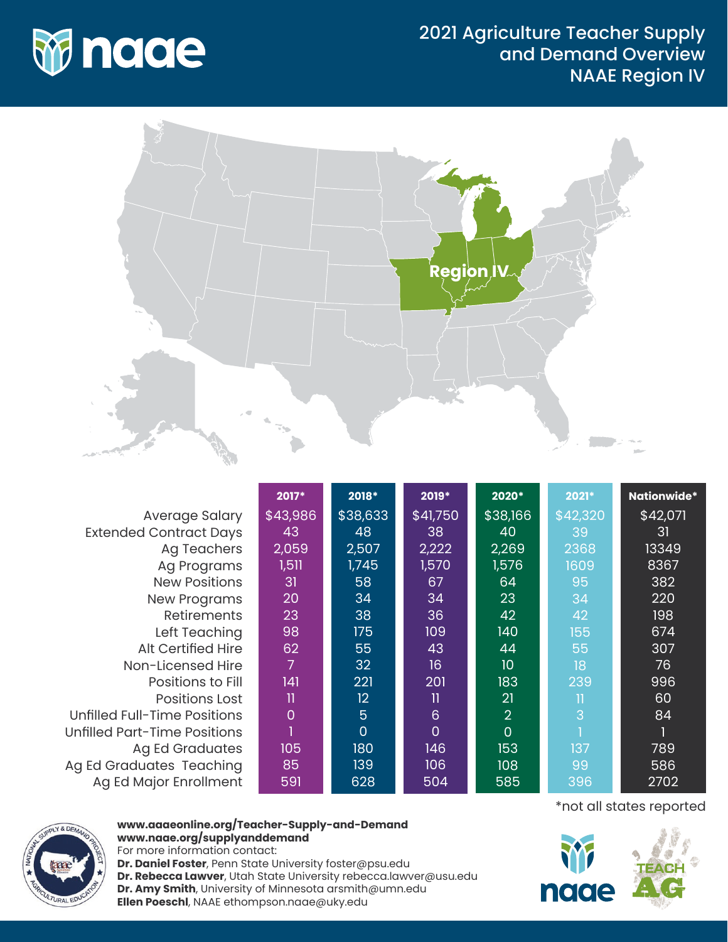



|                                     | 2017*          | 2018*          | 2019*          | 2020*           | 2021*    | Nationwide* |
|-------------------------------------|----------------|----------------|----------------|-----------------|----------|-------------|
| Average Salary                      | \$43,986       | \$38,633       | \$41,750       | \$38,166        | \$42,320 | \$42,071    |
| <b>Extended Contract Days</b>       | 43             | 48             | 38             | 40              | 39       | 31          |
| <b>Ag Teachers</b>                  | 2,059          | 2,507          | 2,222          | 2,269           | 2368     | 13349       |
| Ag Programs                         | 1,511          | 1,745          | 1,570          | 1,576           | 1609     | 8367        |
| <b>New Positions</b>                | 31             | 58             | 67             | 64              | 95       | 382         |
| <b>New Programs</b>                 | 20             | 34             | 34             | 23              | 34       | 220         |
| <b>Retirements</b>                  | 23             | 38             | 36             | 42              | 42       | 198         |
| Left Teaching                       | 98             | 175            | 109            | 140             | 155      | 674         |
| <b>Alt Certified Hire</b>           | 62             | 55             | 43             | 44              | 55       | 307         |
| Non-Licensed Hire                   | 7              | 32             | 16             | 10 <sup>°</sup> | 18       | 76          |
| Positions to Fill                   | 141            | 221            | 201            | 183             | 239      | 996         |
| Positions Lost                      | $\mathbf{I}$   | 12             | 11             | 21              | Π        | 60          |
| <b>Unfilled Full-Time Positions</b> | $\overline{0}$ | $\overline{5}$ | 6              | $\overline{2}$  | 3        | 84          |
| Unfilled Part-Time Positions        |                | $\overline{0}$ | $\overline{0}$ | $\overline{0}$  |          |             |
| <b>Ag Ed Graduates</b>              | 105            | 180            | 146            | 153             | 137      | 789         |
| Ag Ed Graduates Teaching            | 85             | 139            | 106            | 108             | 99       | 586         |
| Ag Ed Major Enrollment              | 591            | 628            | 504            | 585             | 396      | 2702        |



## **www.aaaeonline.org/Teacher-Supply-and-Demand www.naae.org/supplyanddemand**

For more information contact: **Dr. Daniel Foster**, Penn State University foster@psu.edu **Dr. Rebecca Lawver**, Utah State University rebecca.lawver@usu.edu **Dr. Amy Smith**, University of Minnesota arsmith@umn.edu **Ellen Poeschl**, NAAE ethompson.naae@uky.edu

\*not all states reported